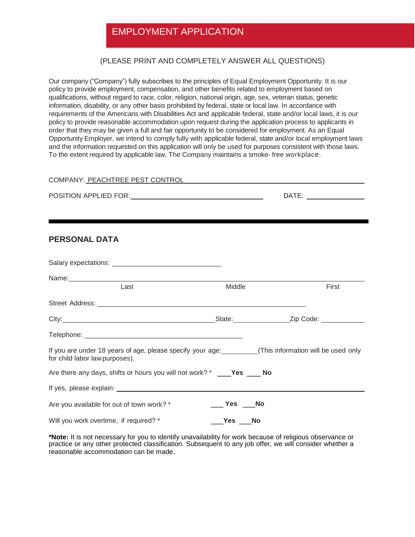# EMPLOYMENT APPLICATION

#### (PLEASE PRINT AND COMPLETELY ANSWER ALL QUESTIONS)

Our company ("Company") fully subscribes to the principles of Equal Employment Opportunity. It is our policy to provide employment, compensation, and other benefits related to employment based on qualifications, without regard to race, color, religion, national origin, age, sex, veteran status, genetic information, disability, or any other basis prohibited by federal, state or local law. In accordance with requirements of the Americans with Disabilities Act and applicable federal, state and/or local laws, it is our policy to provide reasonable accommodation upon request during the application process to applicants in order that they may be given a full and fair opportunity to be considered for employment. As an Equal Opportunity Employer, we intend to comply fully with applicable federal, state and/or local employment laws and the information requested on this application will only be used for purposes consistent with those laws. To the extent required by applicable law, The Company maintains a smoke- free workplace.

| COMPANY: PEACHTREE PEST CONTROL |       |
|---------------------------------|-------|
| POSITION APPLIED FOR:           | DATE: |
|                                 |       |

#### **PERSONAL DATA**

| Last                                                                                                                                        | Middle      | First |
|---------------------------------------------------------------------------------------------------------------------------------------------|-------------|-------|
|                                                                                                                                             |             |       |
|                                                                                                                                             |             |       |
|                                                                                                                                             |             |       |
| If you are under 18 years of age, please specify your age: ___________(This information will be used only<br>for child labor law purposes). |             |       |
| Are there any days, shifts or hours you will not work? * ____ <b>Yes</b> ____ No                                                            |             |       |
|                                                                                                                                             |             |       |
| Are you available for out of town work? *                                                                                                   | No Nes No   |       |
| Will you work overtime, if required? *                                                                                                      | __Yes ___No |       |

**\*Note:** It is not necessary for you to identify unavailability for work because of religious observance or practice or any other protected classification. Subsequent to any job offer, we will consider whether a reasonable accommodation can be made.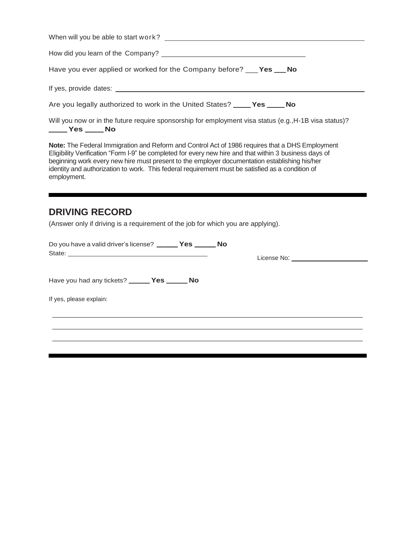| Have you ever applied or worked for the Company before? ___ <b>Yes ___ No</b>                          |
|--------------------------------------------------------------------------------------------------------|
|                                                                                                        |
| Are you legally authorized to work in the United States? _____ Yes _____ No                            |
| Will you now or in the future require sponsorship for employment visa status (e.g., H-1B visa status)? |

\_\_\_ **Yes** \_\_\_ **No**

**Note:** The Federal Immigration and Reform and Control Act of 1986 requires that a DHS Employment Eligibility Verification "Form I-9" be completed for every new hire and that within 3 business days of beginning work every new hire must present to the employer documentation establishing his/her identity and authorization to work. This federal requirement must be satisfied as a condition of employment.

# **DRIVING RECORD**

(Answer only if driving is a requirement of the job for which you are applying).

| Do you have a valid driver's license? _______ Yes _______ No | License No: North Contract Contract Contract Contract Contract Contract Contract Contract Contract Contract Contract Contract Contract Contract Contract Contract Contract Contract Contract Contract Contract Contract Contra |
|--------------------------------------------------------------|--------------------------------------------------------------------------------------------------------------------------------------------------------------------------------------------------------------------------------|
| Have you had any tickets? _______ Yes _______ No             |                                                                                                                                                                                                                                |
| If yes, please explain:                                      |                                                                                                                                                                                                                                |
|                                                              |                                                                                                                                                                                                                                |
|                                                              |                                                                                                                                                                                                                                |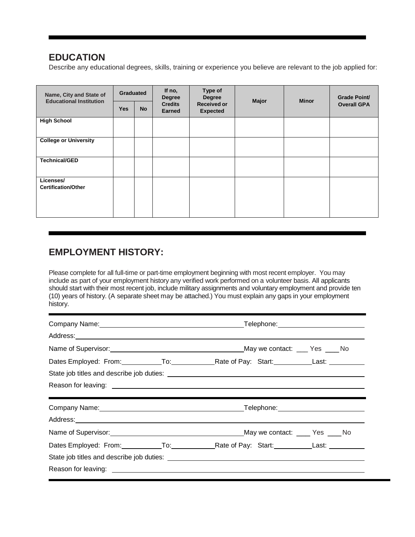## **EDUCATION**

Describe any educational degrees, skills, training or experience you believe are relevant to the job applied for:

| Name, City and State of<br><b>Educational Institution</b> | <b>Graduated</b> |           | If no,<br><b>Degree</b>         | Type of<br><b>Degree</b> | <b>Major</b> | <b>Minor</b>       | <b>Grade Point/</b> |  |
|-----------------------------------------------------------|------------------|-----------|---------------------------------|--------------------------|--------------|--------------------|---------------------|--|
|                                                           | <b>Yes</b>       | <b>No</b> | <b>Credits</b><br><b>Earned</b> | <b>Expected</b>          |              | <b>Received or</b> |                     |  |
| <b>High School</b>                                        |                  |           |                                 |                          |              |                    |                     |  |
| <b>College or University</b>                              |                  |           |                                 |                          |              |                    |                     |  |
| <b>Technical/GED</b>                                      |                  |           |                                 |                          |              |                    |                     |  |
| Licenses/<br><b>Certification/Other</b>                   |                  |           |                                 |                          |              |                    |                     |  |

### **EMPLOYMENT HISTORY:**

Please complete for all full-time or part-time employment beginning with most recent employer. You may include as part of your employment history any verified work performed on a volunteer basis. All applicants should start with their most recent job, include military assignments and voluntary employment and provide ten (10) years of history. (A separate sheet may be attached.) You must explain any gaps in your employment history.

| Name of Supervisor: Notice that the May we contact: New Yes No. 2016. Notice that the May we contact: Notice N |  |  |
|----------------------------------------------------------------------------------------------------------------|--|--|
|                                                                                                                |  |  |
|                                                                                                                |  |  |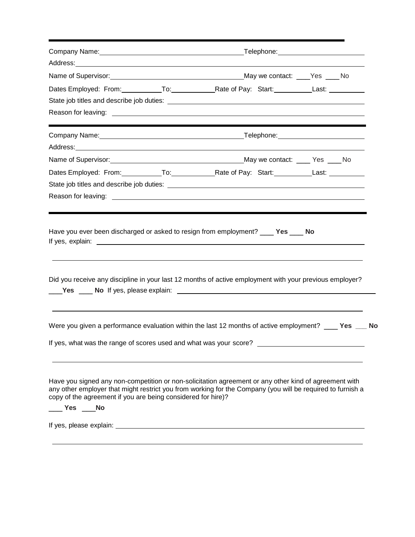|                                                                                 | Dates Employed: From: To: To: Rate of Pay: Start: Last: Last:                                                                                                                                                                  |  |  |
|---------------------------------------------------------------------------------|--------------------------------------------------------------------------------------------------------------------------------------------------------------------------------------------------------------------------------|--|--|
|                                                                                 |                                                                                                                                                                                                                                |  |  |
|                                                                                 |                                                                                                                                                                                                                                |  |  |
|                                                                                 |                                                                                                                                                                                                                                |  |  |
|                                                                                 | Address: Andreas Address: Address: Address: Address: Address: Address: Address: Address: Address: Address: Address: Address: Address: Address: Address: Address: Address: Address: Address: Address: Address: Address: Address |  |  |
|                                                                                 | Name of Supervisor: Manual Community of Supervisors May we contact: May we contact: May 2012 Mo                                                                                                                                |  |  |
|                                                                                 |                                                                                                                                                                                                                                |  |  |
|                                                                                 |                                                                                                                                                                                                                                |  |  |
|                                                                                 |                                                                                                                                                                                                                                |  |  |
|                                                                                 | Did you receive any discipline in your last 12 months of active employment with your previous employer?                                                                                                                        |  |  |
|                                                                                 | Were you given a performance evaluation within the last 12 months of active employment? ____ Yes ___ No                                                                                                                        |  |  |
|                                                                                 | If yes, what was the range of scores used and what was your score? ________________________________                                                                                                                            |  |  |
| copy of the agreement if you are being considered for hire)?<br>____ Yes ____No | Have you signed any non-competition or non-solicitation agreement or any other kind of agreement with<br>any other employer that might restrict you from working for the Company (you will be required to furnish a            |  |  |
|                                                                                 |                                                                                                                                                                                                                                |  |  |
|                                                                                 |                                                                                                                                                                                                                                |  |  |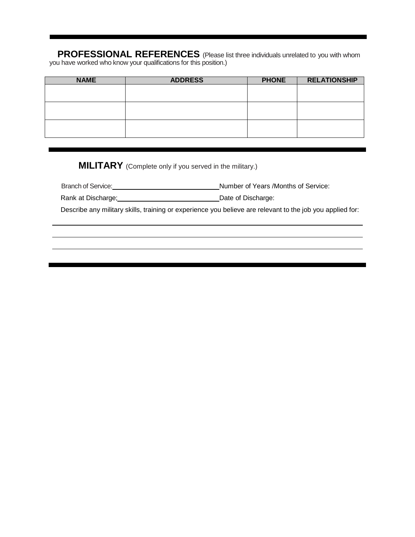**PROFESSIONAL REFERENCES** (Please list three individuals unrelated to you with whom you have worked who know your qualifications for this position.)

| <b>NAME</b> | <b>ADDRESS</b> | <b>PHONE</b> | <b>RELATIONSHIP</b> |
|-------------|----------------|--------------|---------------------|
|             |                |              |                     |
|             |                |              |                     |
|             |                |              |                     |
|             |                |              |                     |
|             |                |              |                     |
|             |                |              |                     |

**MILITARY** (Complete only if you served in the military.)

 $\overline{a}$ 

Branch of Service: Number of Years /Months of Service:

Rank at Discharge; 2008 - 2018 - 2019 - 2019 - 2019 - 2019 - 2019 - 2019 - 2019 - 2019 - 2019 - 2019 - 2019 - 20

Describe any military skills, training or experience you believe are relevant to the job you applied for: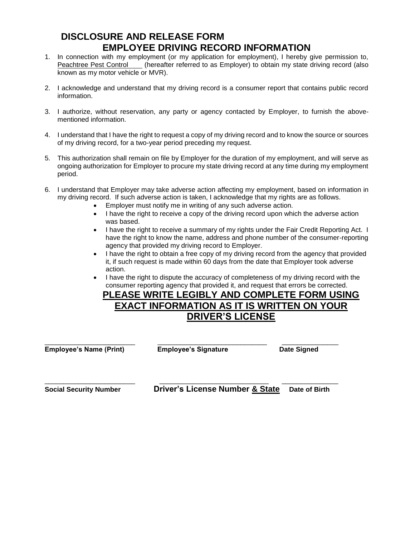#### **DISCLOSURE AND RELEASE FORM EMPLOYEE DRIVING RECORD INFORMATION**

- 1. In connection with my employment (or my application for employment), I hereby give permission to, Peachtree Pest Control (hereafter referred to as Employer) to obtain my state driving record (also known as my motor vehicle or MVR).
- 2. I acknowledge and understand that my driving record is a consumer report that contains public record information.
- 3. I authorize, without reservation, any party or agency contacted by Employer, to furnish the abovementioned information.
- 4. I understand that I have the right to request a copy of my driving record and to know the source or sources of my driving record, for a two-year period preceding my request.
- 5. This authorization shall remain on file by Employer for the duration of my employment, and will serve as ongoing authorization for Employer to procure my state driving record at any time during my employment period.
- 6. I understand that Employer may take adverse action affecting my employment, based on information in my driving record. If such adverse action is taken, I acknowledge that my rights are as follows.
	- Employer must notify me in writing of any such adverse action.
	- I have the right to receive a copy of the driving record upon which the adverse action was based.
	- I have the right to receive a summary of my rights under the Fair Credit Reporting Act. I have the right to know the name, address and phone number of the consumer-reporting agency that provided my driving record to Employer.
	- I have the right to obtain a free copy of my driving record from the agency that provided it, if such request is made within 60 days from the date that Employer took adverse action.
	- I have the right to dispute the accuracy of completeness of my driving record with the consumer reporting agency that provided it, and request that errors be corrected.

#### **PLEASE WRITE LEGIBLY AND COMPLETE FORM USING EXACT INFORMATION AS IT IS WRITTEN ON YOUR DRIVER'S LICENSE**

**Employee's Name (Print) Employee's Signature Date Signed** 

\_\_\_\_\_\_\_\_\_\_\_\_\_\_\_\_\_\_\_\_\_\_\_\_ \_\_\_\_\_\_\_\_\_\_\_\_\_\_\_\_\_\_\_\_\_\_\_\_\_\_\_\_\_ \_\_\_\_\_\_\_\_\_\_\_\_\_\_\_

\_\_\_\_\_\_\_\_\_\_\_\_\_\_\_\_\_\_\_\_\_\_\_\_ \_\_\_\_\_\_\_\_\_\_\_\_\_\_\_\_\_\_\_\_\_\_\_\_\_\_\_\_\_ \_\_\_\_\_\_\_\_\_\_\_\_\_\_\_ **Social Security Number Driver's License Number & State Date of Birth**